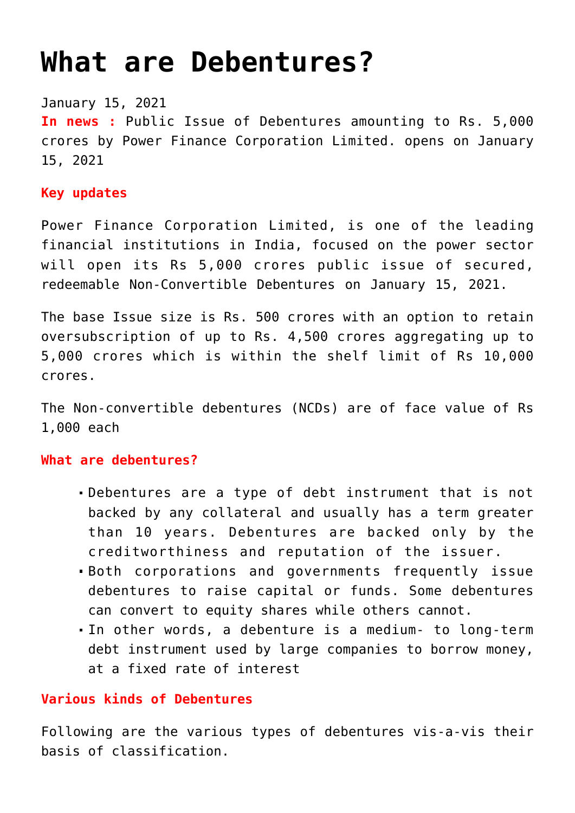# **[What are Debentures?](https://journalsofindia.com/fatfs-27-action-plan/)**

January 15, 2021

**In news :** Public Issue of Debentures amounting to Rs. 5,000 crores by Power Finance Corporation Limited. opens on January 15, 2021

# **Key updates**

Power Finance Corporation Limited, is one of the leading financial institutions in India, focused on the power sector will open its Rs 5,000 crores public issue of secured, redeemable Non-Convertible Debentures on January 15, 2021.

The base Issue size is Rs. 500 crores with an option to retain oversubscription of up to Rs. 4,500 crores aggregating up to 5,000 crores which is within the shelf limit of Rs 10,000 crores.

The Non-convertible debentures (NCDs) are of face value of Rs 1,000 each

# **What are debentures?**

- Debentures are a type of debt instrument that is not backed by any collateral and usually has a term greater than 10 years. Debentures are backed only by the creditworthiness and reputation of the issuer.
- Both corporations and governments frequently issue debentures to raise capital or funds. Some debentures can convert to equity shares while others cannot.
- In other words, a debenture is a medium- to long-term debt instrument used by large companies to borrow money, at a fixed rate of interest

# **Various kinds of Debentures**

Following are the various types of debentures vis-a-vis their basis of classification.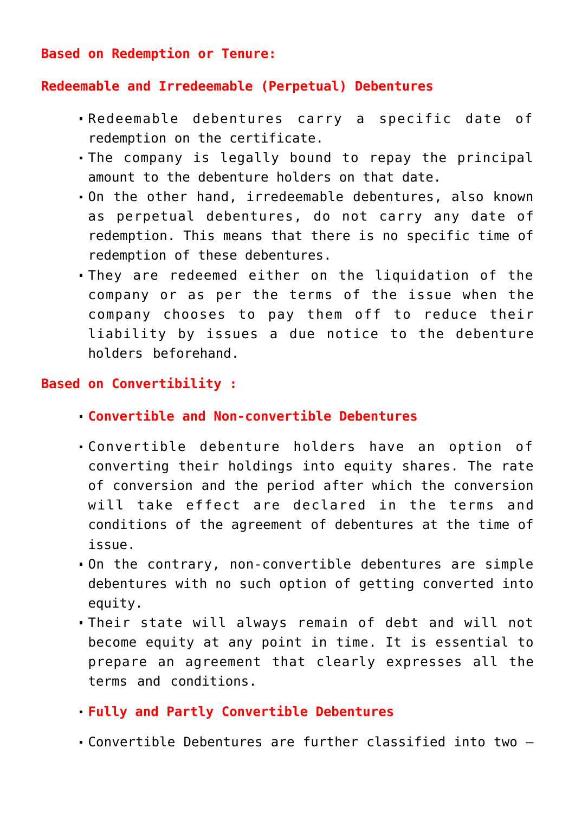**Based on Redemption or Tenure:**

#### **Redeemable and Irredeemable (Perpetual) Debentures**

- Redeemable debentures carry a specific date of redemption on the certificate.
- The company is legally bound to repay the principal amount to the debenture holders on that date.
- On the other hand, irredeemable debentures, also known as perpetual debentures, do not carry any date of redemption. This means that there is no specific time of redemption of these debentures.
- They are redeemed either on the liquidation of the company or as per the terms of the issue when the company chooses to pay them off to reduce their liability by issues a due notice to the debenture holders beforehand.

# **Based on Convertibility :**

- **Convertible and Non-convertible Debentures**
- Convertible debenture holders have an option of converting their holdings into equity shares. The rate of conversion and the period after which the conversion will take effect are declared in the terms and conditions of the agreement of debentures at the time of issue.
- On the contrary, non-convertible debentures are simple debentures with no such option of getting converted into equity.
- Their state will always remain of debt and will not become equity at any point in time. It is essential to prepare an agreement that clearly expresses all the terms and conditions.
- **Fully and Partly Convertible Debentures**
- Convertible Debentures are further classified into two –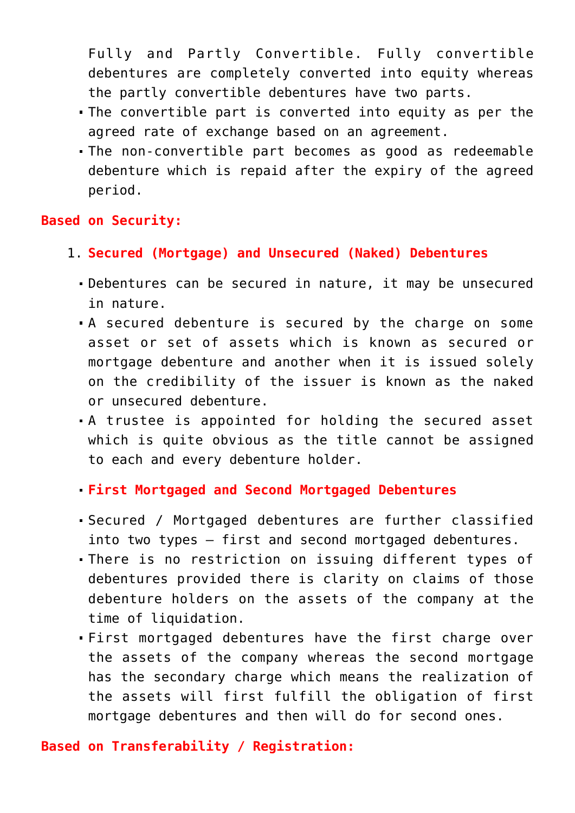Fully and Partly Convertible. Fully convertible debentures are completely converted into equity whereas the partly convertible debentures have two parts.

- The convertible part is converted into equity as per the agreed rate of exchange based on an agreement.
- The non-convertible part becomes as good as redeemable debenture which is repaid after the expiry of the agreed period.

#### **Based on Security:**

- 1. **Secured (Mortgage) and Unsecured (Naked) Debentures**
	- Debentures can be secured in nature, it may be unsecured in nature.
	- A secured debenture is secured by the charge on some asset or set of assets which is known as secured or mortgage debenture and another when it is issued solely on the credibility of the issuer is known as the naked or unsecured debenture.
	- A trustee is appointed for holding the secured asset which is quite obvious as the title cannot be assigned to each and every debenture holder.
	- **First Mortgaged and Second Mortgaged Debentures**
	- Secured / Mortgaged debentures are further classified into two types – first and second mortgaged debentures.
	- There is no restriction on issuing different types of debentures provided there is clarity on claims of those debenture holders on the assets of the company at the time of liquidation.
	- First mortgaged debentures have the first charge over the assets of the company whereas the second mortgage has the secondary charge which means the realization of the assets will first fulfill the obligation of first mortgage debentures and then will do for second ones.

# **Based on Transferability / Registration:**